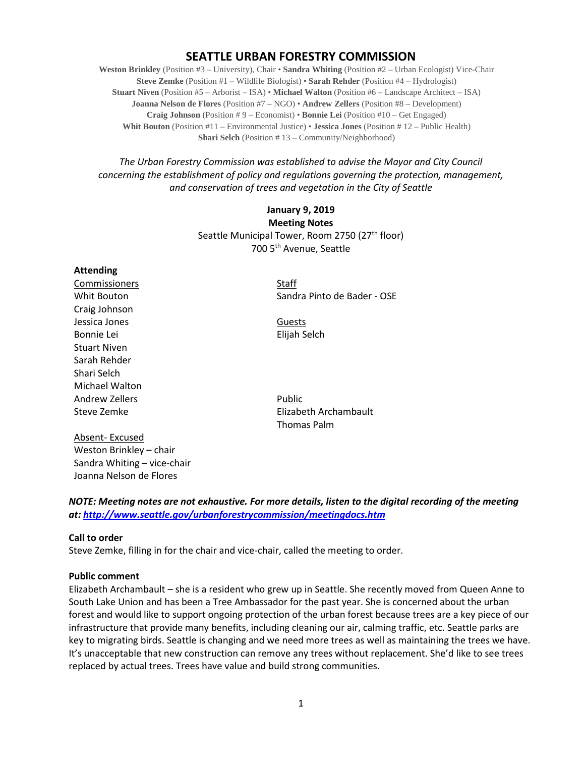# **SEATTLE URBAN FORESTRY COMMISSION**

**Weston Brinkley** (Position #3 – University), Chair • **Sandra Whiting** (Position #2 – Urban Ecologist) Vice-Chair **Steve Zemke** (Position #1 – Wildlife Biologist) • **Sarah Rehder** (Position #4 – Hydrologist) **Stuart Niven** (Position #5 – Arborist – ISA) • **Michael Walton** (Position #6 – Landscape Architect – ISA) **Joanna Nelson de Flores** (Position #7 – NGO) • **Andrew Zellers** (Position #8 – Development) **Craig Johnson** (Position # 9 – Economist) • **Bonnie Lei** (Position #10 – Get Engaged) **Whit Bouton** (Position #11 – Environmental Justice) • **Jessica Jones** (Position # 12 – Public Health) **Shari Selch** (Position # 13 – Community/Neighborhood)

*The Urban Forestry Commission was established to advise the Mayor and City Council concerning the establishment of policy and regulations governing the protection, management, and conservation of trees and vegetation in the City of Seattle*

# **January 9, 2019 Meeting Notes** Seattle Municipal Tower, Room 2750 (27<sup>th</sup> floor) 700 5th Avenue, Seattle

#### **Attending**

Commissioners Staff Craig Johnson Jessica Jones **Guests** Bonnie Lei **Elijah Selch** Stuart Niven Sarah Rehder Shari Selch Michael Walton Andrew Zellers **Public** 

Absent- Excused Weston Brinkley – chair Sandra Whiting – vice-chair Joanna Nelson de Flores

Whit Bouton Sandra Pinto de Bader - OSE

Steve Zemke **Elizabeth Archambault** Thomas Palm

*NOTE: Meeting notes are not exhaustive. For more details, listen to the digital recording of the meeting at:<http://www.seattle.gov/urbanforestrycommission/meetingdocs.htm>*

#### **Call to order**

Steve Zemke, filling in for the chair and vice-chair, called the meeting to order.

#### **Public comment**

Elizabeth Archambault – she is a resident who grew up in Seattle. She recently moved from Queen Anne to South Lake Union and has been a Tree Ambassador for the past year. She is concerned about the urban forest and would like to support ongoing protection of the urban forest because trees are a key piece of our infrastructure that provide many benefits, including cleaning our air, calming traffic, etc. Seattle parks are key to migrating birds. Seattle is changing and we need more trees as well as maintaining the trees we have. It's unacceptable that new construction can remove any trees without replacement. She'd like to see trees replaced by actual trees. Trees have value and build strong communities.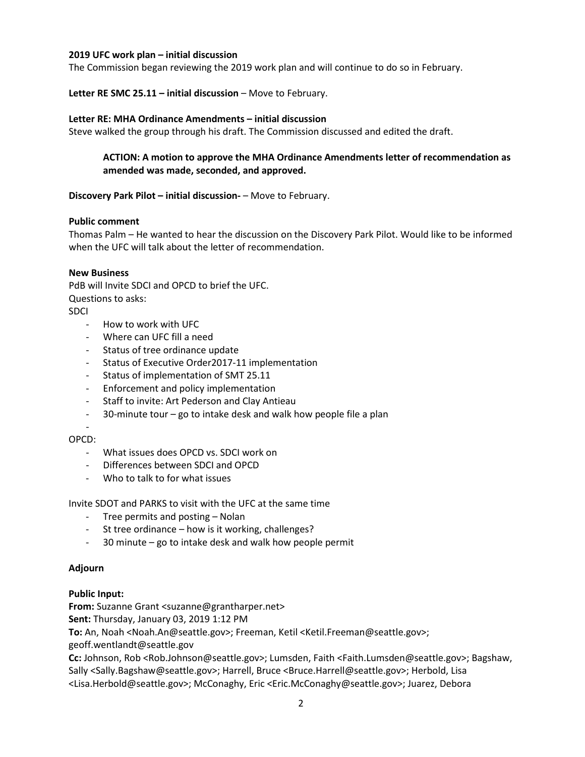## **2019 UFC work plan – initial discussion**

The Commission began reviewing the 2019 work plan and will continue to do so in February.

**Letter RE SMC 25.11 – initial discussion** – Move to February.

#### **Letter RE: MHA Ordinance Amendments – initial discussion**

Steve walked the group through his draft. The Commission discussed and edited the draft.

# **ACTION: A motion to approve the MHA Ordinance Amendments letter of recommendation as amended was made, seconded, and approved.**

### **Discovery Park Pilot – initial discussion-** – Move to February.

#### **Public comment**

Thomas Palm – He wanted to hear the discussion on the Discovery Park Pilot. Would like to be informed when the UFC will talk about the letter of recommendation.

### **New Business**

PdB will Invite SDCI and OPCD to brief the UFC. Questions to asks:

- SDCI
	- How to work with UFC
	- Where can UFC fill a need
	- Status of tree ordinance update
	- Status of Executive Order2017-11 implementation
	- Status of implementation of SMT 25.11
	- Enforcement and policy implementation
	- Staff to invite: Art Pederson and Clay Antieau
	- 30-minute tour go to intake desk and walk how people file a plan

#### - OPCD:

- What issues does OPCD vs. SDCI work on
- Differences between SDCI and OPCD
- Who to talk to for what issues

Invite SDOT and PARKS to visit with the UFC at the same time

- Tree permits and posting Nolan
- St tree ordinance how is it working, challenges?
- 30 minute go to intake desk and walk how people permit

# **Adjourn**

# **Public Input:**

**From:** Suzanne Grant <suzanne@grantharper.net>

**Sent:** Thursday, January 03, 2019 1:12 PM

**To:** An, Noah <Noah.An@seattle.gov>; Freeman, Ketil <Ketil.Freeman@seattle.gov>;

geoff.wentlandt@seattle.gov

**Cc:** Johnson, Rob <Rob.Johnson@seattle.gov>; Lumsden, Faith <Faith.Lumsden@seattle.gov>; Bagshaw, Sally <Sally.Bagshaw@seattle.gov>; Harrell, Bruce <Bruce.Harrell@seattle.gov>; Herbold, Lisa <Lisa.Herbold@seattle.gov>; McConaghy, Eric <Eric.McConaghy@seattle.gov>; Juarez, Debora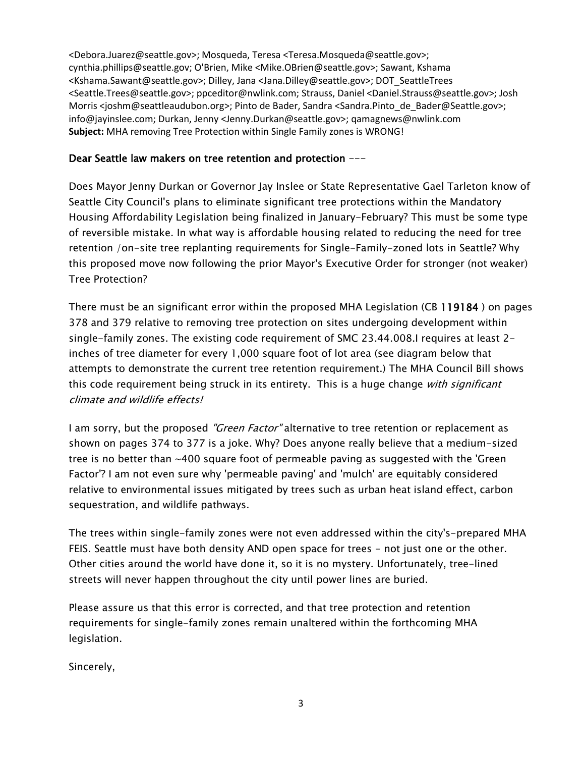<Debora.Juarez@seattle.gov>; Mosqueda, Teresa <Teresa.Mosqueda@seattle.gov>; cynthia.phillips@seattle.gov; O'Brien, Mike <Mike.OBrien@seattle.gov>; Sawant, Kshama <Kshama.Sawant@seattle.gov>; Dilley, Jana <Jana.Dilley@seattle.gov>; DOT\_SeattleTrees <Seattle.Trees@seattle.gov>; ppceditor@nwlink.com; Strauss, Daniel <Daniel.Strauss@seattle.gov>; Josh Morris <joshm@seattleaudubon.org>; Pinto de Bader, Sandra <Sandra.Pinto de Bader@Seattle.gov>; info@jayinslee.com; Durkan, Jenny <Jenny.Durkan@seattle.gov>; qamagnews@nwlink.com **Subject:** MHA removing Tree Protection within Single Family zones is WRONG!

# Dear Seattle law makers on tree retention and protection ---

Does Mayor Jenny Durkan or Governor Jay Inslee or State Representative Gael Tarleton know of Seattle City Council's plans to eliminate significant tree protections within the Mandatory Housing Affordability Legislation being finalized in January-February? This must be some type of reversible mistake. In what way is affordable housing related to reducing the need for tree retention /on-site tree replanting requirements for Single-Family-zoned lots in Seattle? Why this proposed move now following the prior Mayor's Executive Order for stronger (not weaker) Tree Protection?

There must be an significant error within the proposed MHA Legislation (CB 119184 ) on pages 378 and 379 relative to removing tree protection on sites undergoing development within single-family zones. The existing code requirement of SMC 23.44.008.I requires at least 2 inches of tree diameter for every 1,000 square foot of lot area (see diagram below that attempts to demonstrate the current tree retention requirement.) The MHA Council Bill shows this code requirement being struck in its entirety. This is a huge change with significant climate and wildlife effects!

I am sorry, but the proposed *"Green Factor*" alternative to tree retention or replacement as shown on pages 374 to 377 is a joke. Why? Does anyone really believe that a medium-sized tree is no better than ~400 square foot of permeable paving as suggested with the 'Green Factor'? I am not even sure why 'permeable paving' and 'mulch' are equitably considered relative to environmental issues mitigated by trees such as urban heat island effect, carbon sequestration, and wildlife pathways.

The trees within single-family zones were not even addressed within the city's-prepared MHA FEIS. Seattle must have both density AND open space for trees - not just one or the other. Other cities around the world have done it, so it is no mystery. Unfortunately, tree-lined streets will never happen throughout the city until power lines are buried.

Please assure us that this error is corrected, and that tree protection and retention requirements for single-family zones remain unaltered within the forthcoming MHA legislation.

Sincerely,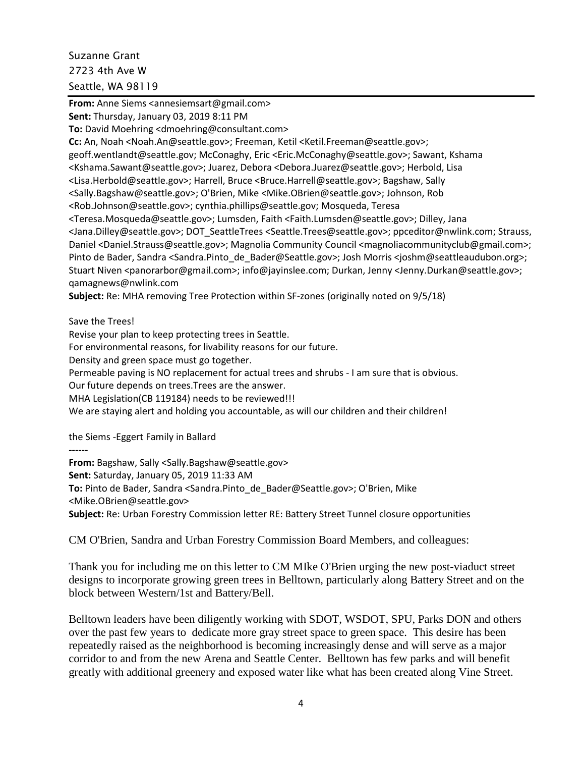Suzanne Grant 2723 4th Ave W Seattle, WA 98119

**From:** Anne Siems <annesiemsart@gmail.com> **Sent:** Thursday, January 03, 2019 8:11 PM **To:** David Moehring <dmoehring@consultant.com> **Cc:** An, Noah <Noah.An@seattle.gov>; Freeman, Ketil <Ketil.Freeman@seattle.gov>; geoff.wentlandt@seattle.gov; McConaghy, Eric <Eric.McConaghy@seattle.gov>; Sawant, Kshama <Kshama.Sawant@seattle.gov>; Juarez, Debora <Debora.Juarez@seattle.gov>; Herbold, Lisa <Lisa.Herbold@seattle.gov>; Harrell, Bruce <Bruce.Harrell@seattle.gov>; Bagshaw, Sally <Sally.Bagshaw@seattle.gov>; O'Brien, Mike <Mike.OBrien@seattle.gov>; Johnson, Rob <Rob.Johnson@seattle.gov>; cynthia.phillips@seattle.gov; Mosqueda, Teresa <Teresa.Mosqueda@seattle.gov>; Lumsden, Faith <Faith.Lumsden@seattle.gov>; Dilley, Jana <Jana.Dilley@seattle.gov>; DOT\_SeattleTrees <Seattle.Trees@seattle.gov>; ppceditor@nwlink.com; Strauss, Daniel <Daniel.Strauss@seattle.gov>; Magnolia Community Council <magnoliacommunityclub@gmail.com>; Pinto de Bader, Sandra <Sandra.Pinto de Bader@Seattle.gov>; Josh Morris <joshm@seattleaudubon.org>; Stuart Niven <panorarbor@gmail.com>; info@jayinslee.com; Durkan, Jenny <Jenny.Durkan@seattle.gov>; qamagnews@nwlink.com

**Subject:** Re: MHA removing Tree Protection within SF-zones (originally noted on 9/5/18)

Save the Trees!

Revise your plan to keep protecting trees in Seattle.

For environmental reasons, for livability reasons for our future.

Density and green space must go together.

Permeable paving is NO replacement for actual trees and shrubs - I am sure that is obvious.

Our future depends on trees.Trees are the answer.

MHA Legislation(CB 119184) needs to be reviewed!!!

We are staying alert and holding you accountable, as will our children and their children!

the Siems -Eggert Family in Ballard

**------**

**From:** Bagshaw, Sally <Sally.Bagshaw@seattle.gov>

**Sent:** Saturday, January 05, 2019 11:33 AM

**To:** Pinto de Bader, Sandra <Sandra.Pinto\_de\_Bader@Seattle.gov>; O'Brien, Mike

<Mike.OBrien@seattle.gov>

**Subject:** Re: Urban Forestry Commission letter RE: Battery Street Tunnel closure opportunities

CM O'Brien, Sandra and Urban Forestry Commission Board Members, and colleagues:

Thank you for including me on this letter to CM MIke O'Brien urging the new post-viaduct street designs to incorporate growing green trees in Belltown, particularly along Battery Street and on the block between Western/1st and Battery/Bell.

Belltown leaders have been diligently working with SDOT, WSDOT, SPU, Parks DON and others over the past few years to dedicate more gray street space to green space. This desire has been repeatedly raised as the neighborhood is becoming increasingly dense and will serve as a major corridor to and from the new Arena and Seattle Center. Belltown has few parks and will benefit greatly with additional greenery and exposed water like what has been created along Vine Street.